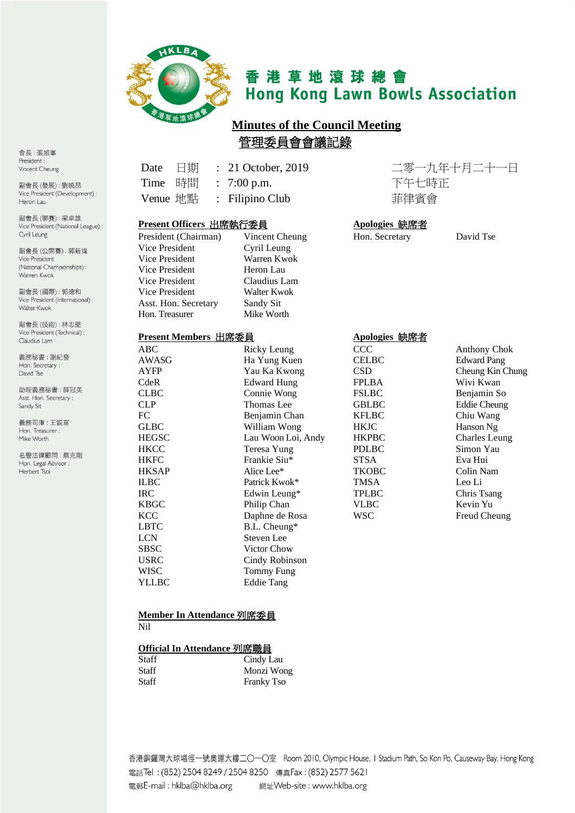

# 香港草地滾球總會 **Hong Kong Lawn Bowls Association**

## **Minutes of the Council Meeting**  管理委員會會議記錄

Date 日期 : 21 October, 2019 二零一九年十月二十一日 Time 時間 : 7:00 p.m. 下午七時正

Venue 地點 : Filipino Club <br>菲律賓會

| Present Officers 出席執行委員 |                | Apologies 缺席者  |           |
|-------------------------|----------------|----------------|-----------|
| President (Chairman)    | Vincent Cheung | Hon. Secretary | David Tse |
| Vice President          | Cyril Leung    |                |           |
| Vice President          | Warren Kwok    |                |           |
| Vice President          | Heron Lau      |                |           |
| Vice President          | Claudius Lam   |                |           |
| Vice President          | Walter Kwok    |                |           |
| Asst. Hon. Secretary    | Sandy Sit      |                |           |
| Hon. Treasurer          | Mike Worth     |                |           |

### **Present Members** 出席委員 **Apologies** 缺席者

| ABC          | Ricky Leung        | CCC          | Anthony Ch         |
|--------------|--------------------|--------------|--------------------|
| <b>AWASG</b> | Ha Yung Kuen       | <b>CELBC</b> | <b>Edward Pan</b>  |
| <b>AYFP</b>  | Yau Ka Kwong       | <b>CSD</b>   | Cheung Kin         |
| CdeR         | <b>Edward Hung</b> | <b>FPLBA</b> | Wivi Kwan          |
| <b>CLBC</b>  | Connie Wong        | <b>FSLBC</b> | Benjamin S         |
| <b>CLP</b>   | Thomas Lee         | <b>GBLBC</b> | <b>Eddie Cheur</b> |
| FC           | Benjamin Chan      | <b>KFLBC</b> | Chiu Wang          |
| <b>GLBC</b>  | William Wong       | <b>HKJC</b>  | Hanson Ng          |
| <b>HEGSC</b> | Lau Woon Loi, Andy | <b>HKPBC</b> | <b>Charles</b> Leu |
| <b>HKCC</b>  | Teresa Yung        | <b>PDLBC</b> | Simon Yau          |
| <b>HKFC</b>  | Frankie Siu*       | <b>STSA</b>  | Eva Hui            |
| <b>HKSAP</b> | Alice Lee*         | <b>TKOBC</b> | Colin Nam          |
| <b>ILBC</b>  | Patrick Kwok*      | <b>TMSA</b>  | Leo Li             |
| <b>IRC</b>   | Edwin Leung*       | <b>TPLBC</b> | Chris Tsang        |
| <b>KBGC</b>  | Philip Chan        | <b>VLBC</b>  | Kevin Yu           |
| <b>KCC</b>   | Daphne de Rosa     | <b>WSC</b>   | Freud Cheu         |
| <b>LBTC</b>  | B.L. Cheung*       |              |                    |
| <b>LCN</b>   | Steven Lee         |              |                    |
| <b>SBSC</b>  | Victor Chow        |              |                    |
| <b>USRC</b>  | Cindy Robinson     |              |                    |
| <b>WISC</b>  | Tommy Fung         |              |                    |
| YLLBC        | <b>Eddie Tang</b>  |              |                    |
|              |                    |              |                    |

#### **Member In Attendance** 列席委員 Nil

#### **Official In Attendance** 列席職員

| <b>Staff</b> | Cindy Lau         |
|--------------|-------------------|
| Staff        | Monzi Wong        |
| <b>Staff</b> | <b>Franky Tso</b> |

CCC Anthony Chok CELBC Edward Pang CSD Cheung Kin Chung FPLBA Wivi Kwan FSLBC Benjamin So GBLBC Eddie Cheung<br>KFLBC Chiu Wang KFLBC Chiu Wang<br>HKJC Hanson Ng HKJC Hanson Ng<br>HKPBC Charles Let dy HKPBC Charles Leung PDLBC Simon Yau<br>STSA Eva Hui WSC Freud Cheung

香港銅鑼灣大球場徑一號奧運大樓二〇一〇室 Room 2010, Olympic House, I Stadium Path, So Kon Po, Causeway Bay, Hong Kong 電話Tel: (852) 2504 8249 / 2504 8250 傳真Fax: (852) 2577 5621 電郵E-mail: hklba@hklba.org 網址Web-site: www.hklba.org

會長:張旭峯 President: Vincent Cheung

副會長(發展):劉曉昂 Vice President (Development) : Heron Lau

副會長(聯賽):梁卓雄 Vice President (National League) : Cyril Leung

副會長(公開賽): 郭新煒 Vice President (National Championships): Warren Kwok

副會長(國際): 郭德和 Vice President (International) : Walter Kwok

副會長(技術):林志堅 Vice President (Technical) : Claudius Lam

義務秘書:謝紀發 Hon. Secretary: David Tse

助理義務秘書:薛冠美 Asst. Hon. Secretary : Sandy Sit

義務司庫:王鋭富 Hon. Treasurer : Mike Worth

名譽法律顧問:蔡克剛 Hon. Legal Advisor : Herbert Tsoi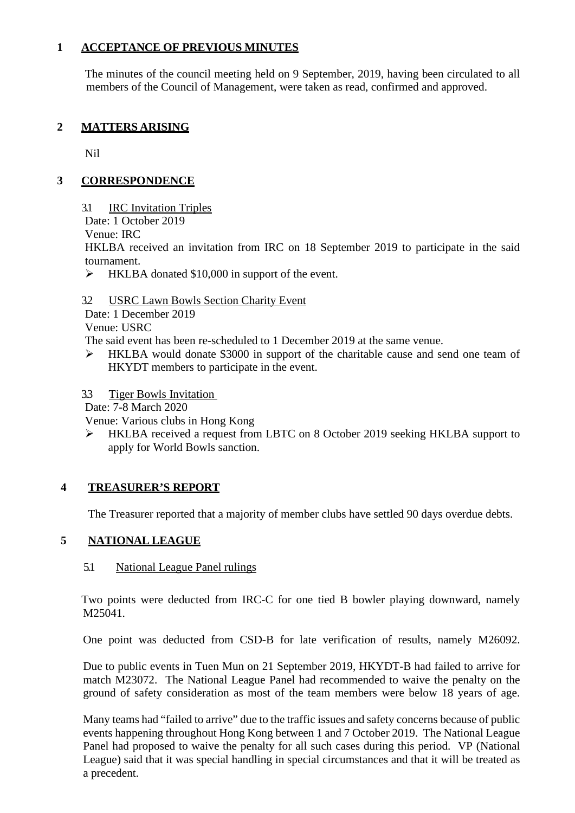## **1 ACCEPTANCE OF PREVIOUS MINUTES**

The minutes of the council meeting held on 9 September, 2019, having been circulated to all members of the Council of Management, were taken as read, confirmed and approved.

## **2 MATTERS ARISING**

Nil

## **3 CORRESPONDENCE**

- 3.1 IRC Invitation Triples
- Date: 1 October 2019
- Venue: IRC

HKLBA received an invitation from IRC on 18 September 2019 to participate in the said tournament.

- $\triangleright$  HKLBA donated \$10,000 in support of the event.
- 3.2 USRC Lawn Bowls Section Charity Event

Date: 1 December 2019

Venue: USRC

The said event has been re-scheduled to 1 December 2019 at the same venue.

 HKLBA would donate \$3000 in support of the charitable cause and send one team of HKYDT members to participate in the event.

3.3 Tiger Bowls Invitation

Date: 7-8 March 2020

Venue: Various clubs in Hong Kong

 HKLBA received a request from LBTC on 8 October 2019 seeking HKLBA support to apply for World Bowls sanction.

## **4 TREASURER'S REPORT**

The Treasurer reported that a majority of member clubs have settled 90 days overdue debts.

## **5 NATIONAL LEAGUE**

## 5.1 National League Panel rulings

Two points were deducted from IRC-C for one tied B bowler playing downward, namely M25041.

One point was deducted from CSD-B for late verification of results, namely M26092.

Due to public events in Tuen Mun on 21 September 2019, HKYDT-B had failed to arrive for match M23072. The National League Panel had recommended to waive the penalty on the ground of safety consideration as most of the team members were below 18 years of age.

Many teams had "failed to arrive" due to the traffic issues and safety concerns because of public events happening throughout Hong Kong between 1 and 7 October 2019. The National League Panel had proposed to waive the penalty for all such cases during this period. VP (National League) said that it was special handling in special circumstances and that it will be treated as a precedent.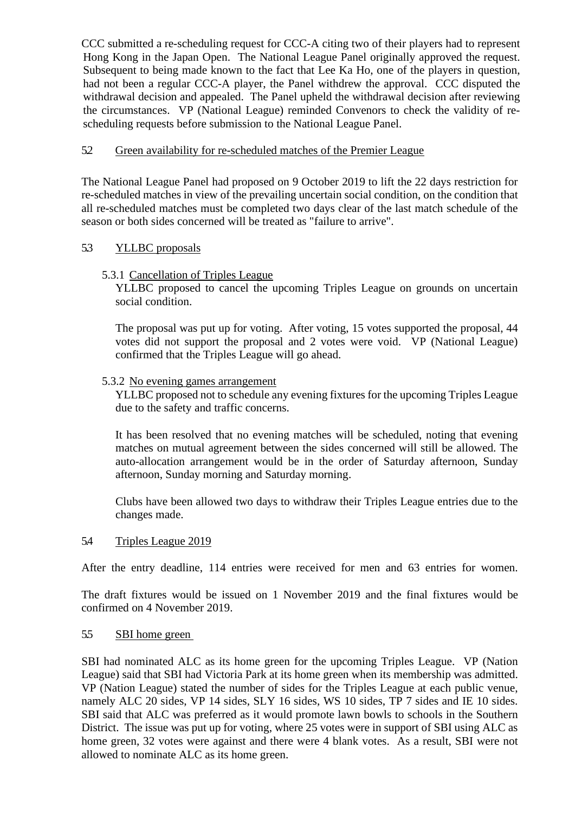CCC submitted a re-scheduling request for CCC-A citing two of their players had to represent Hong Kong in the Japan Open. The National League Panel originally approved the request. Subsequent to being made known to the fact that Lee Ka Ho, one of the players in question, had not been a regular CCC-A player, the Panel withdrew the approval. CCC disputed the withdrawal decision and appealed. The Panel upheld the withdrawal decision after reviewing the circumstances. VP (National League) reminded Convenors to check the validity of rescheduling requests before submission to the National League Panel.

## 5.2 Green availability for re-scheduled matches of the Premier League

The National League Panel had proposed on 9 October 2019 to lift the 22 days restriction for re-scheduled matches in view of the prevailing uncertain social condition, on the condition that all re-scheduled matches must be completed two days clear of the last match schedule of the season or both sides concerned will be treated as "failure to arrive".

## 5.3 YLLBC proposals

## 5.3.1 Cancellation of Triples League

YLLBC proposed to cancel the upcoming Triples League on grounds on uncertain social condition.

The proposal was put up for voting. After voting, 15 votes supported the proposal, 44 votes did not support the proposal and 2 votes were void. VP (National League) confirmed that the Triples League will go ahead.

## 5.3.2 No evening games arrangement

YLLBC proposed not to schedule any evening fixtures for the upcoming Triples League due to the safety and traffic concerns.

It has been resolved that no evening matches will be scheduled, noting that evening matches on mutual agreement between the sides concerned will still be allowed. The auto-allocation arrangement would be in the order of Saturday afternoon, Sunday afternoon, Sunday morning and Saturday morning.

Clubs have been allowed two days to withdraw their Triples League entries due to the changes made.

#### 5.4 Triples League 2019

After the entry deadline, 114 entries were received for men and 63 entries for women.

The draft fixtures would be issued on 1 November 2019 and the final fixtures would be confirmed on 4 November 2019.

## 5.5 SBI home green

SBI had nominated ALC as its home green for the upcoming Triples League. VP (Nation League) said that SBI had Victoria Park at its home green when its membership was admitted. VP (Nation League) stated the number of sides for the Triples League at each public venue, namely ALC 20 sides, VP 14 sides, SLY 16 sides, WS 10 sides, TP 7 sides and IE 10 sides. SBI said that ALC was preferred as it would promote lawn bowls to schools in the Southern District. The issue was put up for voting, where 25 votes were in support of SBI using ALC as home green, 32 votes were against and there were 4 blank votes. As a result, SBI were not allowed to nominate ALC as its home green.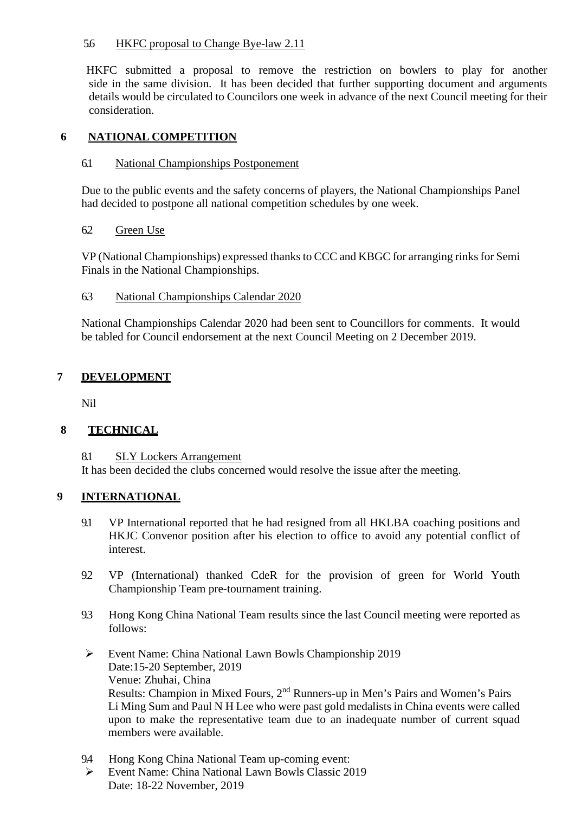## 5.6HKFC proposal to Change Bye-law 2.11

HKFC submitted a proposal to remove the restriction on bowlers to play for another side in the same division. It has been decided that further supporting document and arguments details would be circulated to Councilors one week in advance of the next Council meeting for their consideration.

## **6 NATIONAL COMPETITION**

### 6.1 National Championships Postponement

Due to the public events and the safety concerns of players, the National Championships Panel had decided to postpone all national competition schedules by one week.

### 6.2 Green Use

VP (National Championships) expressed thanks to CCC and KBGC for arranging rinks for Semi Finals in the National Championships.

### 6.3 National Championships Calendar 2020

National Championships Calendar 2020 had been sent to Councillors for comments. It would be tabled for Council endorsement at the next Council Meeting on 2 December 2019.

## **7 DEVELOPMENT**

Nil

## **8 TECHNICAL**

8.1 SLY Lockers Arrangement

It has been decided the clubs concerned would resolve the issue after the meeting.

## **9 INTERNATIONAL**

- 9.1 VP International reported that he had resigned from all HKLBA coaching positions and HKJC Convenor position after his election to office to avoid any potential conflict of interest.
- 9.2 VP (International) thanked CdeR for the provision of green for World Youth Championship Team pre-tournament training.
- 9.3 Hong Kong China National Team results since the last Council meeting were reported as follows:
- Event Name: China National Lawn Bowls Championship 2019 Date:15-20 September, 2019 Venue: Zhuhai, China Results: Champion in Mixed Fours, 2nd Runners-up in Men's Pairs and Women's Pairs Li Ming Sum and Paul N H Lee who were past gold medalists in China events were called upon to make the representative team due to an inadequate number of current squad members were available.
- 9.4 Hong Kong China National Team up-coming event:
- Event Name: China National Lawn Bowls Classic 2019 Date: 18-22 November, 2019